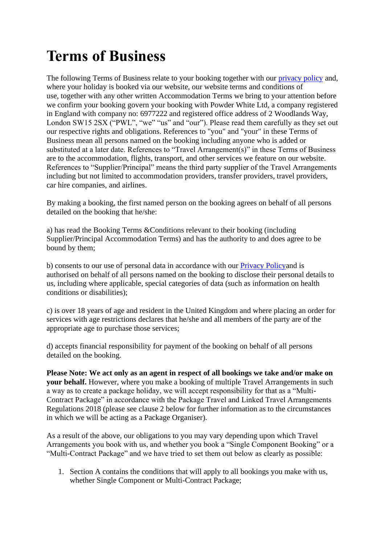# **Terms of Business**

The following Terms of Business relate to your booking together with our [privacy policy](https://www.powderwhite.com/how-to-book/privacy.html) and, where your holiday is booked via our website, our website terms and conditions of use, together with any other written Accommodation Terms we bring to your attention before we confirm your booking govern your booking with Powder White Ltd, a company registered in England with company no: 6977222 and registered office address of 2 Woodlands Way, London SW15 2SX ("PWL", "we" "us" and "our"). Please read them carefully as they set out our respective rights and obligations. References to "you" and "your" in these Terms of Business mean all persons named on the booking including anyone who is added or substituted at a later date. References to "Travel Arrangement(s)" in these Terms of Business are to the accommodation, flights, transport, and other services we feature on our website. References to "Supplier/Principal" means the third party supplier of the Travel Arrangements including but not limited to accommodation providers, transfer providers, travel providers, car hire companies, and airlines.

By making a booking, the first named person on the booking agrees on behalf of all persons detailed on the booking that he/she:

a) has read the Booking Terms &Conditions relevant to their booking (including Supplier/Principal Accommodation Terms) and has the authority to and does agree to be bound by them;

b) consents to our use of personal data in accordance with our [Privacy Policya](https://www.powderwhite.com/how-to-book/privacy.html)nd is authorised on behalf of all persons named on the booking to disclose their personal details to us, including where applicable, special categories of data (such as information on health conditions or disabilities);

c) is over 18 years of age and resident in the United Kingdom and where placing an order for services with age restrictions declares that he/she and all members of the party are of the appropriate age to purchase those services;

d) accepts financial responsibility for payment of the booking on behalf of all persons detailed on the booking.

**Please Note: We act only as an agent in respect of all bookings we take and/or make on your behalf.** However, where you make a booking of multiple Travel Arrangements in such a way as to create a package holiday, we will accept responsibility for that as a "Multi-Contract Package" in accordance with the Package Travel and Linked Travel Arrangements Regulations 2018 (please see clause 2 below for further information as to the circumstances in which we will be acting as a Package Organiser).

As a result of the above, our obligations to you may vary depending upon which Travel Arrangements you book with us, and whether you book a "Single Component Booking" or a "Multi-Contract Package" and we have tried to set them out below as clearly as possible:

1. Section A contains the conditions that will apply to all bookings you make with us, whether Single Component or Multi-Contract Package;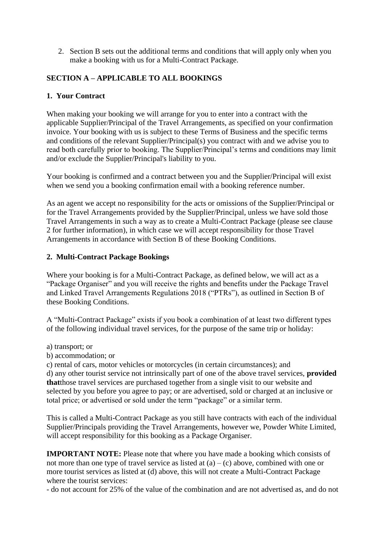2. Section B sets out the additional terms and conditions that will apply only when you make a booking with us for a Multi-Contract Package.

# **SECTION A – APPLICABLE TO ALL BOOKINGS**

# **1. Your Contract**

When making your booking we will arrange for you to enter into a contract with the applicable Supplier/Principal of the Travel Arrangements, as specified on your confirmation invoice. Your booking with us is subject to these Terms of Business and the specific terms and conditions of the relevant Supplier/Principal(s) you contract with and we advise you to read both carefully prior to booking. The Supplier/Principal's terms and conditions may limit and/or exclude the Supplier/Principal's liability to you.

Your booking is confirmed and a contract between you and the Supplier/Principal will exist when we send you a booking confirmation email with a booking reference number.

As an agent we accept no responsibility for the acts or omissions of the Supplier/Principal or for the Travel Arrangements provided by the Supplier/Principal, unless we have sold those Travel Arrangements in such a way as to create a Multi-Contract Package (please see clause 2 for further information), in which case we will accept responsibility for those Travel Arrangements in accordance with Section B of these Booking Conditions.

# **2. Multi-Contract Package Bookings**

Where your booking is for a Multi-Contract Package, as defined below, we will act as a "Package Organiser" and you will receive the rights and benefits under the Package Travel and Linked Travel Arrangements Regulations 2018 ("PTRs"), as outlined in Section B of these Booking Conditions.

A "Multi-Contract Package" exists if you book a combination of at least two different types of the following individual travel services, for the purpose of the same trip or holiday:

a) transport; or

b) accommodation; or

c) rental of cars, motor vehicles or motorcycles (in certain circumstances); and

d) any other tourist service not intrinsically part of one of the above travel services, **provided that**those travel services are purchased together from a single visit to our website and selected by you before you agree to pay; or are advertised, sold or charged at an inclusive or total price; or advertised or sold under the term "package" or a similar term.

This is called a Multi-Contract Package as you still have contracts with each of the individual Supplier/Principals providing the Travel Arrangements, however we, Powder White Limited, will accept responsibility for this booking as a Package Organiser.

**IMPORTANT NOTE:** Please note that where you have made a booking which consists of not more than one type of travel service as listed at  $(a) - (c)$  above, combined with one or more tourist services as listed at (d) above, this will not create a Multi-Contract Package where the tourist services:

- do not account for 25% of the value of the combination and are not advertised as, and do not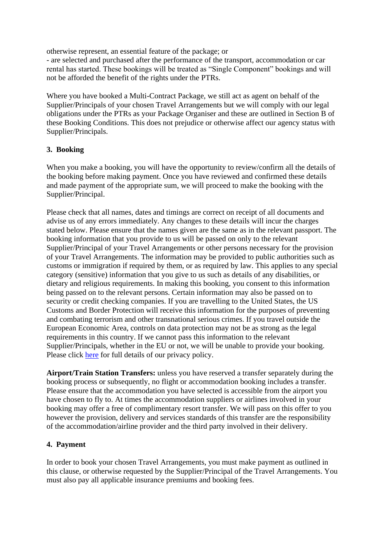otherwise represent, an essential feature of the package; or

- are selected and purchased after the performance of the transport, accommodation or car rental has started. These bookings will be treated as "Single Component" bookings and will not be afforded the benefit of the rights under the PTRs.

Where you have booked a Multi-Contract Package, we still act as agent on behalf of the Supplier/Principals of your chosen Travel Arrangements but we will comply with our legal obligations under the PTRs as your Package Organiser and these are outlined in Section B of these Booking Conditions. This does not prejudice or otherwise affect our agency status with Supplier/Principals.

#### **3. Booking**

When you make a booking, you will have the opportunity to review/confirm all the details of the booking before making payment. Once you have reviewed and confirmed these details and made payment of the appropriate sum, we will proceed to make the booking with the Supplier/Principal.

Please check that all names, dates and timings are correct on receipt of all documents and advise us of any errors immediately. Any changes to these details will incur the charges stated below. Please ensure that the names given are the same as in the relevant passport. The booking information that you provide to us will be passed on only to the relevant Supplier/Principal of your Travel Arrangements or other persons necessary for the provision of your Travel Arrangements. The information may be provided to public authorities such as customs or immigration if required by them, or as required by law. This applies to any special category (sensitive) information that you give to us such as details of any disabilities, or dietary and religious requirements. In making this booking, you consent to this information being passed on to the relevant persons. Certain information may also be passed on to security or credit checking companies. If you are travelling to the United States, the US Customs and Border Protection will receive this information for the purposes of preventing and combating terrorism and other transnational serious crimes. If you travel outside the European Economic Area, controls on data protection may not be as strong as the legal requirements in this country. If we cannot pass this information to the relevant Supplier/Principals, whether in the EU or not, we will be unable to provide your booking. Please click [here](https://www.powderwhite.com/how-to-book/privacy.html) for full details of our privacy policy.

**Airport/Train Station Transfers:** unless you have reserved a transfer separately during the booking process or subsequently, no flight or accommodation booking includes a transfer. Please ensure that the accommodation you have selected is accessible from the airport you have chosen to fly to. At times the accommodation suppliers or airlines involved in your booking may offer a free of complimentary resort transfer. We will pass on this offer to you however the provision, delivery and services standards of this transfer are the responsibility of the accommodation/airline provider and the third party involved in their delivery.

#### **4. Payment**

In order to book your chosen Travel Arrangements, you must make payment as outlined in this clause, or otherwise requested by the Supplier/Principal of the Travel Arrangements. You must also pay all applicable insurance premiums and booking fees.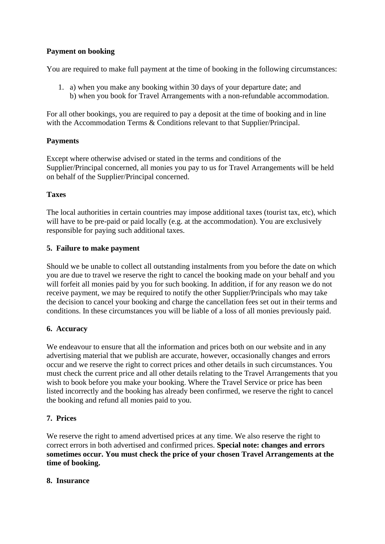# **Payment on booking**

You are required to make full payment at the time of booking in the following circumstances:

1. a) when you make any booking within 30 days of your departure date; and b) when you book for Travel Arrangements with a non-refundable accommodation.

For all other bookings, you are required to pay a deposit at the time of booking and in line with the Accommodation Terms & Conditions relevant to that Supplier/Principal.

## **Payments**

Except where otherwise advised or stated in the terms and conditions of the Supplier/Principal concerned, all monies you pay to us for Travel Arrangements will be held on behalf of the Supplier/Principal concerned.

## **Taxes**

The local authorities in certain countries may impose additional taxes (tourist tax, etc), which will have to be pre-paid or paid locally (e.g. at the accommodation). You are exclusively responsible for paying such additional taxes.

## **5. Failure to make payment**

Should we be unable to collect all outstanding instalments from you before the date on which you are due to travel we reserve the right to cancel the booking made on your behalf and you will forfeit all monies paid by you for such booking. In addition, if for any reason we do not receive payment, we may be required to notify the other Supplier/Principals who may take the decision to cancel your booking and charge the cancellation fees set out in their terms and conditions. In these circumstances you will be liable of a loss of all monies previously paid.

## **6. Accuracy**

We endeavour to ensure that all the information and prices both on our website and in any advertising material that we publish are accurate, however, occasionally changes and errors occur and we reserve the right to correct prices and other details in such circumstances. You must check the current price and all other details relating to the Travel Arrangements that you wish to book before you make your booking. Where the Travel Service or price has been listed incorrectly and the booking has already been confirmed, we reserve the right to cancel the booking and refund all monies paid to you.

## **7. Prices**

We reserve the right to amend advertised prices at any time. We also reserve the right to correct errors in both advertised and confirmed prices. **Special note: changes and errors sometimes occur. You must check the price of your chosen Travel Arrangements at the time of booking.**

#### **8. Insurance**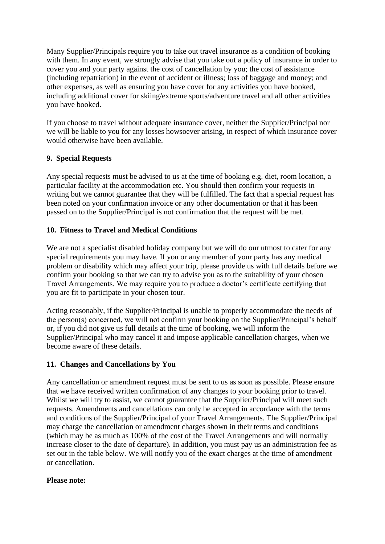Many Supplier/Principals require you to take out travel insurance as a condition of booking with them. In any event, we strongly advise that you take out a policy of insurance in order to cover you and your party against the cost of cancellation by you; the cost of assistance (including repatriation) in the event of accident or illness; loss of baggage and money; and other expenses, as well as ensuring you have cover for any activities you have booked, including additional cover for skiing/extreme sports/adventure travel and all other activities you have booked.

If you choose to travel without adequate insurance cover, neither the Supplier/Principal nor we will be liable to you for any losses howsoever arising, in respect of which insurance cover would otherwise have been available.

## **9. Special Requests**

Any special requests must be advised to us at the time of booking e.g. diet, room location, a particular facility at the accommodation etc. You should then confirm your requests in writing but we cannot guarantee that they will be fulfilled. The fact that a special request has been noted on your confirmation invoice or any other documentation or that it has been passed on to the Supplier/Principal is not confirmation that the request will be met.

# **10. Fitness to Travel and Medical Conditions**

We are not a specialist disabled holiday company but we will do our utmost to cater for any special requirements you may have. If you or any member of your party has any medical problem or disability which may affect your trip, please provide us with full details before we confirm your booking so that we can try to advise you as to the suitability of your chosen Travel Arrangements. We may require you to produce a doctor's certificate certifying that you are fit to participate in your chosen tour.

Acting reasonably, if the Supplier/Principal is unable to properly accommodate the needs of the person(s) concerned, we will not confirm your booking on the Supplier/Principal's behalf or, if you did not give us full details at the time of booking, we will inform the Supplier/Principal who may cancel it and impose applicable cancellation charges, when we become aware of these details.

# **11. Changes and Cancellations by You**

Any cancellation or amendment request must be sent to us as soon as possible. Please ensure that we have received written confirmation of any changes to your booking prior to travel. Whilst we will try to assist, we cannot guarantee that the Supplier/Principal will meet such requests. Amendments and cancellations can only be accepted in accordance with the terms and conditions of the Supplier/Principal of your Travel Arrangements. The Supplier/Principal may charge the cancellation or amendment charges shown in their terms and conditions (which may be as much as 100% of the cost of the Travel Arrangements and will normally increase closer to the date of departure). In addition, you must pay us an administration fee as set out in the table below. We will notify you of the exact charges at the time of amendment or cancellation.

## **Please note:**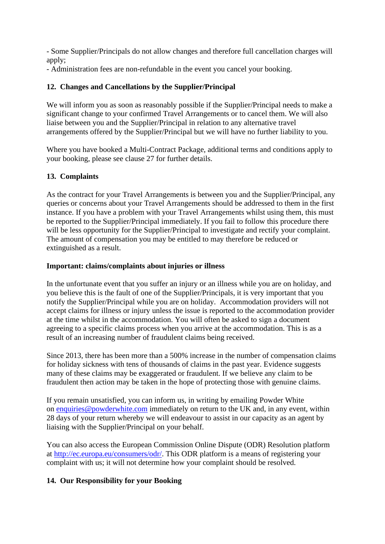- Some Supplier/Principals do not allow changes and therefore full cancellation charges will apply;

- Administration fees are non-refundable in the event you cancel your booking.

# **12. Changes and Cancellations by the Supplier/Principal**

We will inform you as soon as reasonably possible if the Supplier/Principal needs to make a significant change to your confirmed Travel Arrangements or to cancel them. We will also liaise between you and the Supplier/Principal in relation to any alternative travel arrangements offered by the Supplier/Principal but we will have no further liability to you.

Where you have booked a Multi-Contract Package, additional terms and conditions apply to your booking, please see clause 27 for further details.

## **13. Complaints**

As the contract for your Travel Arrangements is between you and the Supplier/Principal, any queries or concerns about your Travel Arrangements should be addressed to them in the first instance. If you have a problem with your Travel Arrangements whilst using them, this must be reported to the Supplier/Principal immediately. If you fail to follow this procedure there will be less opportunity for the Supplier/Principal to investigate and rectify your complaint. The amount of compensation you may be entitled to may therefore be reduced or extinguished as a result.

#### **Important: claims/complaints about injuries or illness**

In the unfortunate event that you suffer an injury or an illness while you are on holiday, and you believe this is the fault of one of the Supplier/Principals, it is very important that you notify the Supplier/Principal while you are on holiday. Accommodation providers will not accept claims for illness or injury unless the issue is reported to the accommodation provider at the time whilst in the accommodation. You will often be asked to sign a document agreeing to a specific claims process when you arrive at the accommodation. This is as a result of an increasing number of fraudulent claims being received.

Since 2013, there has been more than a 500% increase in the number of compensation claims for holiday sickness with tens of thousands of claims in the past year. Evidence suggests many of these claims may be exaggerated or fraudulent. If we believe any claim to be fraudulent then action may be taken in the hope of protecting those with genuine claims.

If you remain unsatisfied, you can inform us, in writing by emailing Powder White on [enquiries@powderwhite.com](mailto:enquiries@powderwhite.com) immediately on return to the UK and, in any event, within 28 days of your return whereby we will endeavour to assist in our capacity as an agent by liaising with the Supplier/Principal on your behalf.

You can also access the European Commission Online Dispute (ODR) Resolution platform at [http://ec.europa.eu/consumers/odr/.](http://ec.europa.eu/consumers/odr/) This ODR platform is a means of registering your complaint with us; it will not determine how your complaint should be resolved.

## **14. Our Responsibility for your Booking**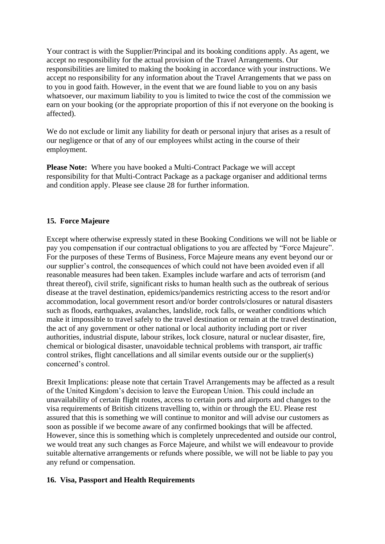Your contract is with the Supplier/Principal and its booking conditions apply. As agent, we accept no responsibility for the actual provision of the Travel Arrangements. Our responsibilities are limited to making the booking in accordance with your instructions. We accept no responsibility for any information about the Travel Arrangements that we pass on to you in good faith. However, in the event that we are found liable to you on any basis whatsoever, our maximum liability to you is limited to twice the cost of the commission we earn on your booking (or the appropriate proportion of this if not everyone on the booking is affected).

We do not exclude or limit any liability for death or personal injury that arises as a result of our negligence or that of any of our employees whilst acting in the course of their employment.

**Please Note:** Where you have booked a Multi-Contract Package we will accept responsibility for that Multi-Contract Package as a package organiser and additional terms and condition apply. Please see clause 28 for further information.

# **15. Force Majeure**

Except where otherwise expressly stated in these Booking Conditions we will not be liable or pay you compensation if our contractual obligations to you are affected by "Force Majeure". For the purposes of these Terms of Business, Force Majeure means any event beyond our or our supplier's control, the consequences of which could not have been avoided even if all reasonable measures had been taken. Examples include warfare and acts of terrorism (and threat thereof), civil strife, significant risks to human health such as the outbreak of serious disease at the travel destination, epidemics/pandemics restricting access to the resort and/or accommodation, local government resort and/or border controls/closures or natural disasters such as floods, earthquakes, avalanches, landslide, rock falls, or weather conditions which make it impossible to travel safely to the travel destination or remain at the travel destination, the act of any government or other national or local authority including port or river authorities, industrial dispute, labour strikes, lock closure, natural or nuclear disaster, fire, chemical or biological disaster, unavoidable technical problems with transport, air traffic control strikes, flight cancellations and all similar events outside our or the supplier(s) concerned's control.

Brexit Implications: please note that certain Travel Arrangements may be affected as a result of the United Kingdom's decision to leave the European Union. This could include an unavailability of certain flight routes, access to certain ports and airports and changes to the visa requirements of British citizens travelling to, within or through the EU. Please rest assured that this is something we will continue to monitor and will advise our customers as soon as possible if we become aware of any confirmed bookings that will be affected. However, since this is something which is completely unprecedented and outside our control, we would treat any such changes as Force Majeure, and whilst we will endeavour to provide suitable alternative arrangements or refunds where possible, we will not be liable to pay you any refund or compensation.

#### **16. Visa, Passport and Health Requirements**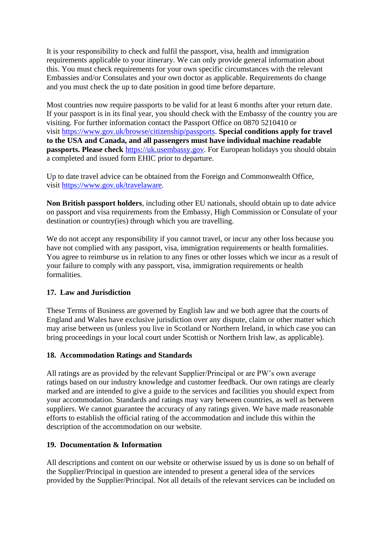It is your responsibility to check and fulfil the passport, visa, health and immigration requirements applicable to your itinerary. We can only provide general information about this. You must check requirements for your own specific circumstances with the relevant Embassies and/or Consulates and your own doctor as applicable. Requirements do change and you must check the up to date position in good time before departure.

Most countries now require passports to be valid for at least 6 months after your return date. If your passport is in its final year, you should check with the Embassy of the country you are visiting. For further information contact the Passport Office on 0870 5210410 or visit [https://www.gov.uk/browse/citizenship/passports.](https://www.gov.uk/browse/citizenship/passports) **Special conditions apply for travel to the USA and Canada, and all passengers must have individual machine readable passports. Please check** [https://uk.usembassy.gov.](https://uk.usembassy.gov/) For European holidays you should obtain a completed and issued form EHIC prior to departure.

Up to date travel advice can be obtained from the Foreign and Commonwealth Office, visit [https://www.gov.uk/travelaware.](https://www.gov.uk/travelaware)

**Non British passport holders**, including other EU nationals, should obtain up to date advice on passport and visa requirements from the Embassy, High Commission or Consulate of your destination or country(ies) through which you are travelling.

We do not accept any responsibility if you cannot travel, or incur any other loss because you have not complied with any passport, visa, immigration requirements or health formalities. You agree to reimburse us in relation to any fines or other losses which we incur as a result of your failure to comply with any passport, visa, immigration requirements or health formalities.

## **17. Law and Jurisdiction**

These Terms of Business are governed by English law and we both agree that the courts of England and Wales have exclusive jurisdiction over any dispute, claim or other matter which may arise between us (unless you live in Scotland or Northern Ireland, in which case you can bring proceedings in your local court under Scottish or Northern Irish law, as applicable).

## **18. Accommodation Ratings and Standards**

All ratings are as provided by the relevant Supplier/Principal or are PW's own average ratings based on our industry knowledge and customer feedback. Our own ratings are clearly marked and are intended to give a guide to the services and facilities you should expect from your accommodation. Standards and ratings may vary between countries, as well as between suppliers. We cannot guarantee the accuracy of any ratings given. We have made reasonable efforts to establish the official rating of the accommodation and include this within the description of the accommodation on our website.

## **19. Documentation & Information**

All descriptions and content on our website or otherwise issued by us is done so on behalf of the Supplier/Principal in question are intended to present a general idea of the services provided by the Supplier/Principal. Not all details of the relevant services can be included on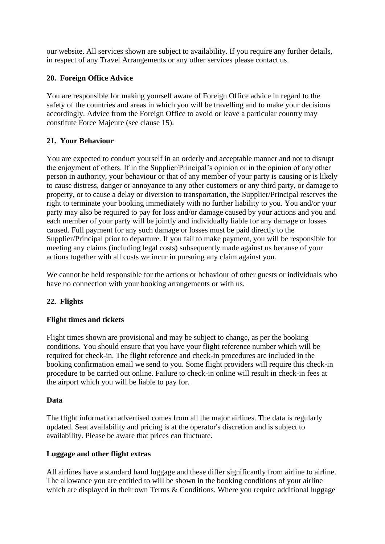our website. All services shown are subject to availability. If you require any further details, in respect of any Travel Arrangements or any other services please contact us.

# **20. Foreign Office Advice**

You are responsible for making yourself aware of Foreign Office advice in regard to the safety of the countries and areas in which you will be travelling and to make your decisions accordingly. Advice from the Foreign Office to avoid or leave a particular country may constitute Force Majeure (see clause 15).

# **21. Your Behaviour**

You are expected to conduct yourself in an orderly and acceptable manner and not to disrupt the enjoyment of others. If in the Supplier/Principal's opinion or in the opinion of any other person in authority, your behaviour or that of any member of your party is causing or is likely to cause distress, danger or annoyance to any other customers or any third party, or damage to property, or to cause a delay or diversion to transportation, the Supplier/Principal reserves the right to terminate your booking immediately with no further liability to you. You and/or your party may also be required to pay for loss and/or damage caused by your actions and you and each member of your party will be jointly and individually liable for any damage or losses caused. Full payment for any such damage or losses must be paid directly to the Supplier/Principal prior to departure. If you fail to make payment, you will be responsible for meeting any claims (including legal costs) subsequently made against us because of your actions together with all costs we incur in pursuing any claim against you.

We cannot be held responsible for the actions or behaviour of other guests or individuals who have no connection with your booking arrangements or with us.

# **22. Flights**

## **Flight times and tickets**

Flight times shown are provisional and may be subject to change, as per the booking conditions. You should ensure that you have your flight reference number which will be required for check-in. The flight reference and check-in procedures are included in the booking confirmation email we send to you. Some flight providers will require this check-in procedure to be carried out online. Failure to check-in online will result in check-in fees at the airport which you will be liable to pay for.

## **Data**

The flight information advertised comes from all the major airlines. The data is regularly updated. Seat availability and pricing is at the operator's discretion and is subject to availability. Please be aware that prices can fluctuate.

## **Luggage and other flight extras**

All airlines have a standard hand luggage and these differ significantly from airline to airline. The allowance you are entitled to will be shown in the booking conditions of your airline which are displayed in their own Terms & Conditions. Where you require additional luggage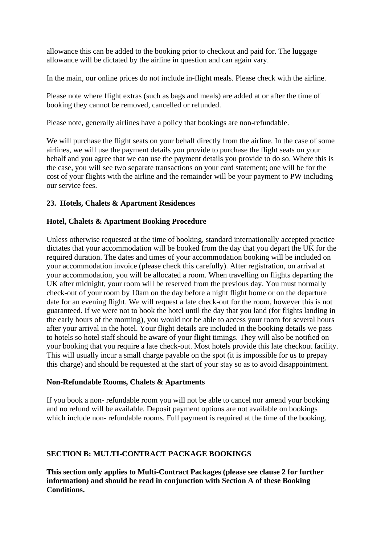allowance this can be added to the booking prior to checkout and paid for. The luggage allowance will be dictated by the airline in question and can again vary.

In the main, our online prices do not include in-flight meals. Please check with the airline.

Please note where flight extras (such as bags and meals) are added at or after the time of booking they cannot be removed, cancelled or refunded.

Please note, generally airlines have a policy that bookings are non-refundable.

We will purchase the flight seats on your behalf directly from the airline. In the case of some airlines, we will use the payment details you provide to purchase the flight seats on your behalf and you agree that we can use the payment details you provide to do so. Where this is the case, you will see two separate transactions on your card statement; one will be for the cost of your flights with the airline and the remainder will be your payment to PW including our service fees.

## **23. Hotels, Chalets & Apartment Residences**

## **Hotel, Chalets & Apartment Booking Procedure**

Unless otherwise requested at the time of booking, standard internationally accepted practice dictates that your accommodation will be booked from the day that you depart the UK for the required duration. The dates and times of your accommodation booking will be included on your accommodation invoice (please check this carefully). After registration, on arrival at your accommodation, you will be allocated a room. When travelling on flights departing the UK after midnight, your room will be reserved from the previous day. You must normally check-out of your room by 10am on the day before a night flight home or on the departure date for an evening flight. We will request a late check-out for the room, however this is not guaranteed. If we were not to book the hotel until the day that you land (for flights landing in the early hours of the morning), you would not be able to access your room for several hours after your arrival in the hotel. Your flight details are included in the booking details we pass to hotels so hotel staff should be aware of your flight timings. They will also be notified on your booking that you require a late check-out. Most hotels provide this late checkout facility. This will usually incur a small charge payable on the spot (it is impossible for us to prepay this charge) and should be requested at the start of your stay so as to avoid disappointment.

## **Non-Refundable Rooms, Chalets & Apartments**

If you book a non- refundable room you will not be able to cancel nor amend your booking and no refund will be available. Deposit payment options are not available on bookings which include non- refundable rooms. Full payment is required at the time of the booking.

## **SECTION B: MULTI-CONTRACT PACKAGE BOOKINGS**

**This section only applies to Multi-Contract Packages (please see clause 2 for further information) and should be read in conjunction with Section A of these Booking Conditions.**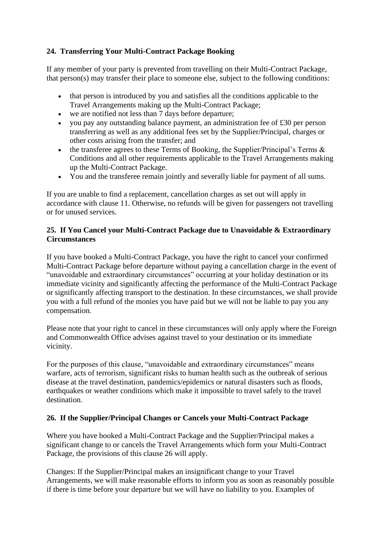# **24. Transferring Your Multi-Contract Package Booking**

If any member of your party is prevented from travelling on their Multi-Contract Package, that person(s) may transfer their place to someone else, subject to the following conditions:

- that person is introduced by you and satisfies all the conditions applicable to the Travel Arrangements making up the Multi-Contract Package;
- we are notified not less than 7 days before departure:
- you pay any outstanding balance payment, an administration fee of £30 per person transferring as well as any additional fees set by the Supplier/Principal, charges or other costs arising from the transfer; and
- the transferee agrees to these Terms of Booking, the Supplier/Principal's Terms & Conditions and all other requirements applicable to the Travel Arrangements making up the Multi-Contract Package.
- You and the transferee remain jointly and severally liable for payment of all sums.

If you are unable to find a replacement, cancellation charges as set out will apply in accordance with clause 11. Otherwise, no refunds will be given for passengers not travelling or for unused services.

## **25. If You Cancel your Multi-Contract Package due to Unavoidable & Extraordinary Circumstances**

If you have booked a Multi-Contract Package, you have the right to cancel your confirmed Multi-Contract Package before departure without paying a cancellation charge in the event of "unavoidable and extraordinary circumstances" occurring at your holiday destination or its immediate vicinity and significantly affecting the performance of the Multi-Contract Package or significantly affecting transport to the destination. In these circumstances, we shall provide you with a full refund of the monies you have paid but we will not be liable to pay you any compensation.

Please note that your right to cancel in these circumstances will only apply where the Foreign and Commonwealth Office advises against travel to your destination or its immediate vicinity.

For the purposes of this clause, "unavoidable and extraordinary circumstances" means warfare, acts of terrorism, significant risks to human health such as the outbreak of serious disease at the travel destination, pandemics/epidemics or natural disasters such as floods, earthquakes or weather conditions which make it impossible to travel safely to the travel destination.

## **26. If the Supplier/Principal Changes or Cancels your Multi-Contract Package**

Where you have booked a Multi-Contract Package and the Supplier/Principal makes a significant change to or cancels the Travel Arrangements which form your Multi-Contract Package, the provisions of this clause 26 will apply.

Changes: If the Supplier/Principal makes an insignificant change to your Travel Arrangements, we will make reasonable efforts to inform you as soon as reasonably possible if there is time before your departure but we will have no liability to you. Examples of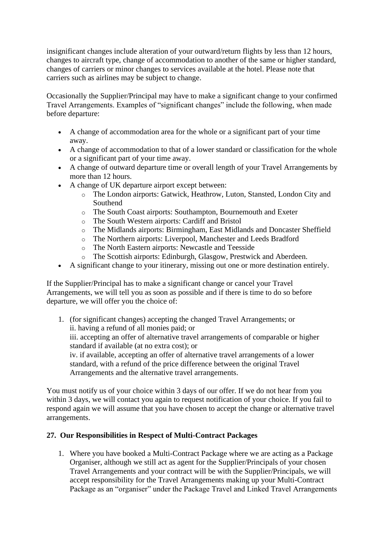insignificant changes include alteration of your outward/return flights by less than 12 hours, changes to aircraft type, change of accommodation to another of the same or higher standard, changes of carriers or minor changes to services available at the hotel. Please note that carriers such as airlines may be subject to change.

Occasionally the Supplier/Principal may have to make a significant change to your confirmed Travel Arrangements. Examples of "significant changes" include the following, when made before departure:

- A change of accommodation area for the whole or a significant part of your time away.
- A change of accommodation to that of a lower standard or classification for the whole or a significant part of your time away.
- A change of outward departure time or overall length of your Travel Arrangements by more than 12 hours.
- A change of UK departure airport except between:
	- o The London airports: Gatwick, Heathrow, Luton, Stansted, London City and Southend
	- o The South Coast airports: Southampton, Bournemouth and Exeter
	- o The South Western airports: Cardiff and Bristol
	- o The Midlands airports: Birmingham, East Midlands and Doncaster Sheffield
	- o The Northern airports: Liverpool, Manchester and Leeds Bradford
	- o The North Eastern airports: Newcastle and Teesside
	- o The Scottish airports: Edinburgh, Glasgow, Prestwick and Aberdeen.
- A significant change to your itinerary, missing out one or more destination entirely.

If the Supplier/Principal has to make a significant change or cancel your Travel Arrangements, we will tell you as soon as possible and if there is time to do so before departure, we will offer you the choice of:

1. (for significant changes) accepting the changed Travel Arrangements; or ii. having a refund of all monies paid; or iii. accepting an offer of alternative travel arrangements of comparable or higher standard if available (at no extra cost); or iv. if available, accepting an offer of alternative travel arrangements of a lower

standard, with a refund of the price difference between the original Travel Arrangements and the alternative travel arrangements.

You must notify us of your choice within 3 days of our offer. If we do not hear from you within 3 days, we will contact you again to request notification of your choice. If you fail to respond again we will assume that you have chosen to accept the change or alternative travel arrangements.

#### **27. Our Responsibilities in Respect of Multi-Contract Packages**

1. Where you have booked a Multi-Contract Package where we are acting as a Package Organiser, although we still act as agent for the Supplier/Principals of your chosen Travel Arrangements and your contract will be with the Supplier/Principals, we will accept responsibility for the Travel Arrangements making up your Multi-Contract Package as an "organiser" under the Package Travel and Linked Travel Arrangements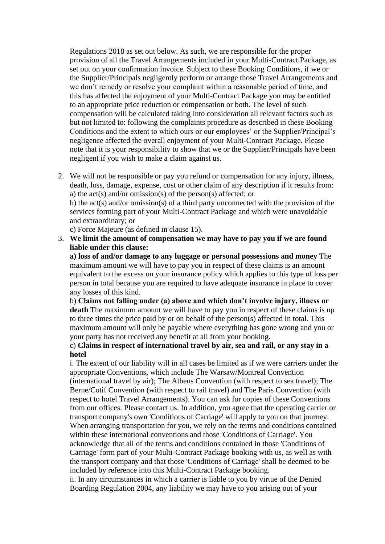Regulations 2018 as set out below. As such, we are responsible for the proper provision of all the Travel Arrangements included in your Multi-Contract Package, as set out on your confirmation invoice. Subject to these Booking Conditions, if we or the Supplier/Principals negligently perform or arrange those Travel Arrangements and we don't remedy or resolve your complaint within a reasonable period of time, and this has affected the enjoyment of your Multi-Contract Package you may be entitled to an appropriate price reduction or compensation or both. The level of such compensation will be calculated taking into consideration all relevant factors such as but not limited to: following the complaints procedure as described in these Booking Conditions and the extent to which ours or our employees' or the Supplier/Principal's negligence affected the overall enjoyment of your Multi-Contract Package. Please note that it is your responsibility to show that we or the Supplier/Principals have been negligent if you wish to make a claim against us.

2. We will not be responsible or pay you refund or compensation for any injury, illness, death, loss, damage, expense, cost or other claim of any description if it results from: a) the act(s) and/or omission(s) of the person(s) affected; or b) the act(s) and/or omission(s) of a third party unconnected with the provision of the services forming part of your Multi-Contract Package and which were unavoidable and extraordinary; or

c) Force Majeure (as defined in clause 15).

3. **We limit the amount of compensation we may have to pay you if we are found liable under this clause:**

**a) loss of and/or damage to any luggage or personal possessions and money** The maximum amount we will have to pay you in respect of these claims is an amount equivalent to the excess on your insurance policy which applies to this type of loss per person in total because you are required to have adequate insurance in place to cover any losses of this kind.

b) **Claims not falling under (a) above and which don't involve injury, illness or death** The maximum amount we will have to pay you in respect of these claims is up to three times the price paid by or on behalf of the person(s) affected in total. This maximum amount will only be payable where everything has gone wrong and you or your party has not received any benefit at all from your booking.

#### c) **Claims in respect of international travel by air, sea and rail, or any stay in a hotel**

i. The extent of our liability will in all cases be limited as if we were carriers under the appropriate Conventions, which include The Warsaw/Montreal Convention (international travel by air); The Athens Convention (with respect to sea travel); The Berne/Cotif Convention (with respect to rail travel) and The Paris Convention (with respect to hotel Travel Arrangements). You can ask for copies of these Conventions from our offices. Please contact us. In addition, you agree that the operating carrier or transport company's own 'Conditions of Carriage' will apply to you on that journey. When arranging transportation for you, we rely on the terms and conditions contained within these international conventions and those 'Conditions of Carriage'. You acknowledge that all of the terms and conditions contained in those 'Conditions of Carriage' form part of your Multi-Contract Package booking with us, as well as with the transport company and that those 'Conditions of Carriage' shall be deemed to be included by reference into this Multi-Contract Package booking.

ii. In any circumstances in which a carrier is liable to you by virtue of the Denied Boarding Regulation 2004, any liability we may have to you arising out of your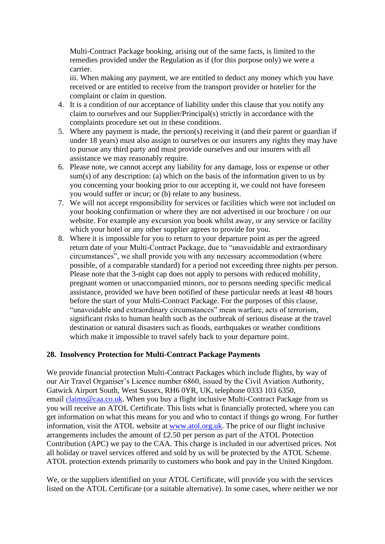Multi-Contract Package booking, arising out of the same facts, is limited to the remedies provided under the Regulation as if (for this purpose only) we were a carrier.

iii. When making any payment, we are entitled to deduct any money which you have received or are entitled to receive from the transport provider or hotelier for the complaint or claim in question.

- 4. It is a condition of our acceptance of liability under this clause that you notify any claim to ourselves and our Supplier/Principal(s) strictly in accordance with the complaints procedure set out in these conditions.
- 5. Where any payment is made, the person(s) receiving it (and their parent or guardian if under 18 years) must also assign to ourselves or our insurers any rights they may have to pursue any third party and must provide ourselves and our insurers with all assistance we may reasonably require.
- 6. Please note, we cannot accept any liability for any damage, loss or expense or other sum(s) of any description: (a) which on the basis of the information given to us by you concerning your booking prior to our accepting it, we could not have foreseen you would suffer or incur; or (b) relate to any business.
- 7. We will not accept responsibility for services or facilities which were not included on your booking confirmation or where they are not advertised in our brochure / on our website. For example any excursion you book whilst away, or any service or facility which your hotel or any other supplier agrees to provide for you.
- 8. Where it is impossible for you to return to your departure point as per the agreed return date of your Multi-Contract Package, due to "unavoidable and extraordinary circumstances", we shall provide you with any necessary accommodation (where possible, of a comparable standard) for a period not exceeding three nights per person. Please note that the 3-night cap does not apply to persons with reduced mobility, pregnant women or unaccompanied minors, nor to persons needing specific medical assistance, provided we have been notified of these particular needs at least 48 hours before the start of your Multi-Contract Package. For the purposes of this clause, "unavoidable and extraordinary circumstances" mean warfare, acts of terrorism, significant risks to human health such as the outbreak of serious disease at the travel destination or natural disasters such as floods, earthquakes or weather conditions which make it impossible to travel safely back to your departure point.

#### **28. Insolvency Protection for Multi-Contract Package Payments**

We provide financial protection Multi-Contract Packages which include flights, by way of our Air Travel Organiser's Licence number 6860, issued by the Civil Aviation Authority, Gatwick Airport South, West Sussex, RH6 0YR, UK, telephone 0333 103 6350, email [claims@caa.co.uk.](mailto:claims@caa.co.uk) When you buy a flight inclusive Multi-Contract Package from us you will receive an ATOL Certificate. This lists what is financially protected, where you can get information on what this means for you and who to contact if things go wrong. For further information, visit the ATOL website at [www.atol.org.uk.](http://www.atol.org.uk/) The price of our flight inclusive arrangements includes the amount of £2.50 per person as part of the ATOL Protection Contribution (APC) we pay to the CAA. This charge is included in our advertised prices. Not all holiday or travel services offered and sold by us will be protected by the ATOL Scheme. ATOL protection extends primarily to customers who book and pay in the United Kingdom.

We, or the suppliers identified on your ATOL Certificate, will provide you with the services listed on the ATOL Certificate (or a suitable alternative). In some cases, where neither we nor